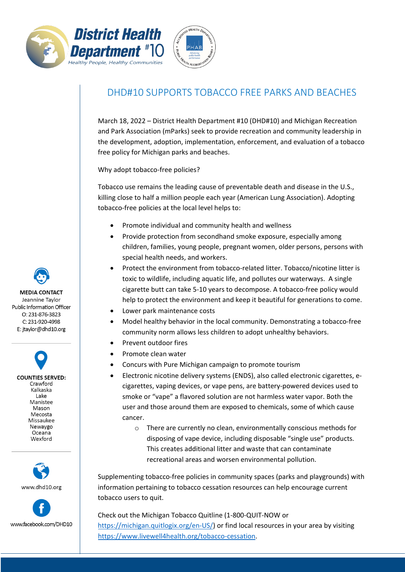



**LIEALTL** 

## DHD#10 SUPPORTS TOBACCO FREE PARKS AND BEACHES

March 18, 2022 – District Health Department #10 (DHD#10) and Michigan Recreation and Park Association (mParks) seek to provide recreation and community leadership in the development, adoption, implementation, enforcement, and evaluation of a tobacco free policy for Michigan parks and beaches.

Why adopt tobacco-free policies?

Tobacco use remains the leading cause of preventable death and disease in the U.S., killing close to half a million people each year (American Lung Association). Adopting tobacco-free policies at the local level helps to:

- Promote individual and community health and wellness
- Provide protection from secondhand smoke exposure, especially among children, families, young people, pregnant women, older persons, persons with special health needs, and workers.
- Protect the environment from tobacco-related litter. Tobacco/nicotine litter is toxic to wildlife, including aquatic life, and pollutes our waterways. A single cigarette butt can take 5-10 years to decompose. A tobacco-free policy would help to protect the environment and keep it beautiful for generations to come.
- Lower park maintenance costs
- Model healthy behavior in the local community. Demonstrating a tobacco-free community norm allows less children to adopt unhealthy behaviors.
- Prevent outdoor fires
- Promote clean water
- Concurs with Pure Michigan campaign to promote tourism
- Electronic nicotine delivery systems (ENDS), also called electronic cigarettes, ecigarettes, vaping devices, or vape pens, are battery-powered devices used to smoke or "vape" a flavored solution are not harmless water vapor. Both the user and those around them are exposed to chemicals, some of which cause cancer.
	- o There are currently no clean, environmentally conscious methods for disposing of vape device, including disposable "single use" products. This creates additional litter and waste that can contaminate recreational areas and worsen environmental pollution.

Supplementing tobacco-free policies in community spaces (parks and playgrounds) with information pertaining to tobacco cessation resources can help encourage current tobacco users to quit.

Check out the Michigan Tobacco Quitline (1-800-QUIT-NOW or [https://michigan.quitlogix.org/en-US/\)](https://michigan.quitlogix.org/en-US/) or find local resources in your area by visiting [https://www.livewell4health.org/tobacco-cessation.](https://www.livewell4health.org/tobacco-cessation)

**MEDIA CONTACT** Jeannine Taylor Public Information Officer O: 231-876-3823 C: 231-920-4998 E: jtaylor@dhd10.org

**COUNTIES SERVED:** Crawford Kalkaska Lake Manistee Mason Mecosta Missaukee Newaygo Oceana Wexford